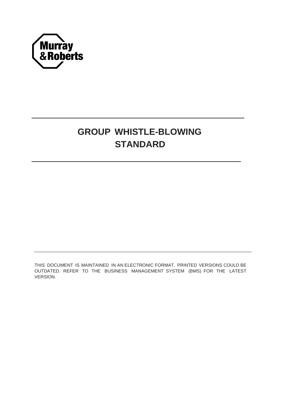

# **GROUP WHISTLE-BLOWING STANDARD**

THIS DOCUMENT IS MAINTAINED IN AN ELECTRONIC FORMAT. PRINTED VERSIONS COULD BE OUTDATED. REFER TO THE BUSINESS MANAGEMENT SYSTEM (BMS) FOR THE LATEST VERSION.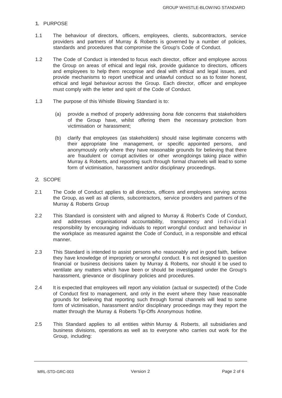## 1. PURPOSE

- 1.1 The behaviour of directors, officers, employees, clients, subcontractors, service providers and partners of Murray & Roberts is governed by a number of policies, standards and procedures that compromise the Group's Code of Conduct.
- 1.2 The Code of Conduct is intended to focus each director, officer and employee across the Group on areas of ethical and legal risk, provide guidance to directors, officers and employees to help them recognise and deal with ethical and legal issues, and provide mechanisms to report unethical and unlawful conduct so as to foster honest, ethical and legal behaviour across the Group. Each director, officer and employee must comply with the letter and spirit of the Code of Conduct.
- 1.3 The purpose of this Whistle Blowing Standard is to:
	- (a) provide a method of properly addressing *bona fide* concerns that stakeholders of the Group have, whilst offering them the necessary protection from victimisation or harassment;
	- (b) clarify that employees (as stakeholders) should raise legitimate concerns with their appropriate line management, or specific appointed persons, and anonymously only where they have reasonable grounds for believing that there are fraudulent or corrupt activities or other wrongdoings taking place within Murray & Roberts, and reporting such through formal channels will lead to some form of victimisation, harassment and/or disciplinary proceedings.

### 2. SCOPE

- 2.1 The Code of Conduct applies to all directors, officers and employees serving across the Group, as well as all clients, subcontractors, service providers and partners of the Murray & Roberts Group
- 2.2 This Standard is consistent with and aligned to Murray & Robert's Code of Conduct, and addresses organisational accountability, transparency and individual responsibility by encouraging individuals to report wrongful conduct and behaviour in the workplace as measured against the Code of Conduct, in a responsible and ethical manner.
- 2.3 This Standard is intended to assist persons who reasonably and in good faith, believe they have knowledge of impropriety or wrongful conduct. It is not designed to question financial or business decisions taken by Murray & Roberts, nor should it be used to ventilate any matters which have been or should be investigated under the Group's harassment, grievance or disciplinary policies and procedures.
- 2.4 It is expected that employees will report any violation (actual or suspected) of the Code of Conduct first to management, and only in the event where they have reasonable grounds for believing that reporting such through formal channels will lead to some form of victimisation, harassment and/or disciplinary proceedings may they report the matter through the Murray & Roberts Tip-Offs Anonymous hotline.
- 2.5 This Standard applies to all entities within Murray & Roberts, all subsidiaries and business divisions, operations as well as to everyone who carries out work for the Group, including: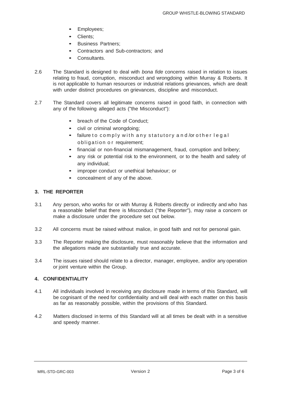- Employees:
- Clients;
- Business Partners;
- Contractors and Sub-contractors; and
- Consultants.
- 2.6 The Standard is designed to deal with *bona fide* concerns raised in relation to issues relating to fraud, corruption, misconduct and wrongdoing within Murray & Roberts. It is not applicable to human resources or industrial relations grievances, which are dealt with under distinct procedures on grievances, discipline and misconduct.
- 2.7 The Standard covers all legitimate concerns raised in good faith, in connection with any of the following alleged acts ("the Misconduct"):
	- breach of the Code of Conduct:
	- civil or criminal wrongdoing;
	- failure to comply with any statutory and/or other legal obligation or requirement;
	- financial or non-financial mismanagement, fraud, corruption and bribery;
	- any risk or potential risk to the environment, or to the health and safety of any individual;
	- improper conduct or unethical behaviour; or
	- concealment of any of the above.

## **3. THE REPORTER**

- 3.1 Any person, who works for or with Murray & Roberts directly or indirectly and who has a reasonable belief that there is Misconduct ("the Reporter"), may raise a concern or make a disclosure under the procedure set out below.
- 3.2 All concerns must be raised without malice, in good faith and not for personal gain.
- 3.3 The Reporter making the disclosure, must reasonably believe that the information and the allegations made are substantially true and accurate.
- 3.4 The issues raised should relate to a director, manager, employee, and/or any operation or joint venture within the Group.

### **4. CONFIDENTIALITY**

- 4.1 All individuals involved in receiving any disclosure made in terms of this Standard, will be cognisant of the need for confidentiality and will deal with each matter on this basis as far as reasonably possible, within the provisions of this Standard.
- 4.2 Matters disclosed in terms of this Standard will at all times be dealt with in a sensitive and speedy manner.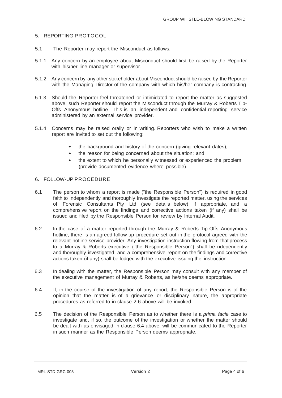#### 5. REPORTING PROTOCOL

- 5.1 The Reporter may report the Misconduct as follows:
- 5.1.1 Any concern by an employee about Misconduct should first be raised by the Reporter with his/her line manager or supervisor.
- 5.1.2 Any concern by any other stakeholder about Misconduct should be raised by the Reporter with the Managing Director of the company with which his/her company is contracting.
- 5.1.3 Should the Reporter feel threatened or intimidated to report the matter as suggested above, such Reporter should report the Misconduct through the Murray & Roberts Tip-Offs Anonymous hotline. This is an independent and confidential reporting service administered by an external service provider.
- 5.1.4 Concerns may be raised orally or in writing. Reporters who wish to make a written report are invited to set out the following:
	- the background and history of the concern (giving relevant dates);
	- the reason for being concerned about the situation; and
	- the extent to which he personally witnessed or experienced the problem (provide documented evidence where possible).

#### 6. FOLLOW-UP PROCEDURE

- 6.1 The person to whom a report is made ("the Responsible Person") is required in good faith to independently and thoroughly investigate the reported matter, using the services of Forensic Consultants Pty Ltd (see details below) if appropriate, and a comprehensive report on the findings and corrective actions taken (if any) shall be issued and filed by the Responsible Person for review by Internal Audit.
- 6.2 In the case of a matter reported through the Murray & Roberts Tip-Offs Anonymous hotline, there is an agreed follow-up procedure set out in the protocol agreed with the relevant hotline service provider. Any investigation instruction flowing from that process to a Murray & Roberts executive ("the Responsible Person") shall be independently and thoroughly investigated, and a comprehensive report on the findings and corrective actions taken (if any) shall be lodged with the executive issuing the instruction.
- 6.3 In dealing with the matter, the Responsible Person may consult with any member of the executive management of Murray & Roberts, as he/she deems appropriate.
- 6.4 If, in the course of the investigation of any report, the Responsible Person is of the opinion that the matter is of a grievance or disciplinary nature, the appropriate procedures as referred to in clause 2.6 above will be invoked.
- 6.5 The decision of the Responsible Person as to whether there is a *prima facie* case to investigate and, if so, the outcome of the investigation or whether the matter should be dealt with as envisaged in clause 6.4 above, will be communicated to the Reporter in such manner as the Responsible Person deems appropriate.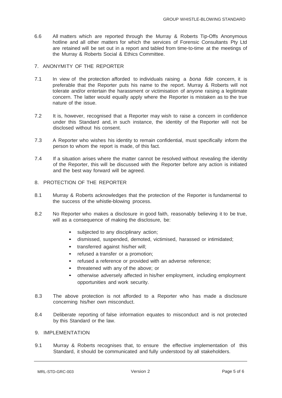- 6.6 All matters which are reported through the Murray & Roberts Tip-Offs Anonymous hotline and all other matters for which the services of Forensic Consultants Pty Ltd are retained will be set out in a report and tabled from time-to-time at the meetings of the Murray & Roberts Social & Ethics Committee.
- 7. ANONYMITY OF THE REPORTER
- 7.1 In view of the protection afforded to individuals raising a *bona fide* concern, it is preferable that the Reporter puts his name to the report. Murray & Roberts will not tolerate and/or entertain the harassment or victimisation of anyone raising a legitimate concern. The latter would equally apply where the Reporter is mistaken as to the true nature of the issue.
- 7.2 It is, however, recognised that a Reporter may wish to raise a concern in confidence under this Standard and, in such instance, the identity of the Reporter will not be disclosed without his consent.
- 7.3 A Reporter who wishes his identity to remain confidential, must specifically inform the person to whom the report is made, of this fact.
- 7.4 If a situation arises where the matter cannot be resolved without revealing the identity of the Reporter, this will be discussed with the Reporter before any action is initiated and the best way forward will be agreed.
- 8. PROTECTION OF THE REPORTER
- 8.1 Murray & Roberts acknowledges that the protection of the Reporter is fundamental to the success of the whistle-blowing process.
- 8.2 No Reporter who makes a disclosure in good faith, reasonably believing it to be true, will as a consequence of making the disclosure, be:
	- subjected to any disciplinary action;
	- dismissed, suspended, demoted, victimised, harassed or intimidated;
	- transferred against his/her will:
	- refused a transfer or a promotion;
	- refused <sup>a</sup> reference or provided with an adverse reference;
	- threatened with any of the above; or
	- otherwise adversely affected in his/her employment, including employment opportunities and work security.
- 8.3 The above protection is not afforded to a Reporter who has made a disclosure concerning his/her own misconduct.
- 8.4 Deliberate reporting of false information equates to misconduct and is not protected by this Standard or the law.
- 9. IMPLEMENTATION
- 9.1 Murray & Roberts recognises that, to ensure the effective implementation of this Standard, it should be communicated and fully understood by all stakeholders.